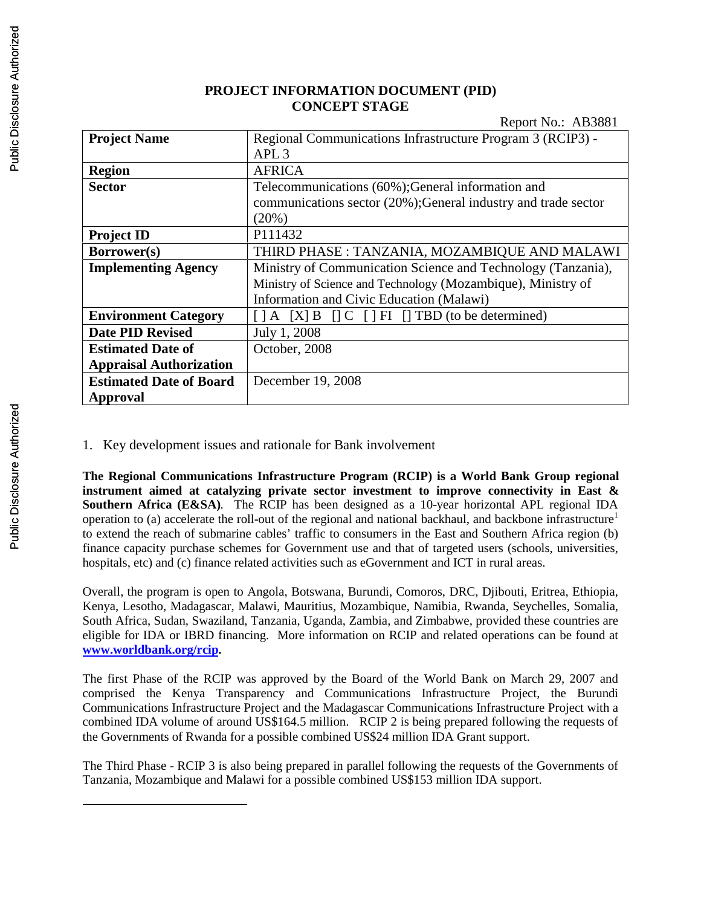# **PROJECT INFORMATION DOCUMENT (PID) CONCEPT STAGE**

Report  $No: AB3881$ 

|                                | 1.66                                                                                      |  |  |
|--------------------------------|-------------------------------------------------------------------------------------------|--|--|
| <b>Project Name</b>            | Regional Communications Infrastructure Program 3 (RCIP3) -                                |  |  |
|                                | APL <sub>3</sub>                                                                          |  |  |
| <b>Region</b>                  | <b>AFRICA</b>                                                                             |  |  |
| <b>Sector</b>                  | Telecommunications (60%); General information and                                         |  |  |
|                                | communications sector (20%); General industry and trade sector                            |  |  |
|                                | (20%)                                                                                     |  |  |
| <b>Project ID</b>              | P111432                                                                                   |  |  |
| Borrower(s)                    | THIRD PHASE : TANZANIA, MOZAMBIQUE AND MALAWI                                             |  |  |
| <b>Implementing Agency</b>     | Ministry of Communication Science and Technology (Tanzania),                              |  |  |
|                                | Ministry of Science and Technology (Mozambique), Ministry of                              |  |  |
|                                | Information and Civic Education (Malawi)                                                  |  |  |
| <b>Environment Category</b>    | $\lceil$   A $\lceil$   X  B $\lceil$   C $\lceil$   FI $\lceil$   TBD (to be determined) |  |  |
| <b>Date PID Revised</b>        | July 1, 2008                                                                              |  |  |
| <b>Estimated Date of</b>       | October, 2008                                                                             |  |  |
| <b>Appraisal Authorization</b> |                                                                                           |  |  |
| <b>Estimated Date of Board</b> | December 19, 2008                                                                         |  |  |
| <b>Approval</b>                |                                                                                           |  |  |

1. Key development issues and rationale for Bank involvement

**The Regional Communications Infrastructure Program (RCIP) is a World Bank Group regional instrument aimed at catalyzing private sector investment to improve connectivity in East & Southern Africa (E&SA)**. The RCIP has been designed as a 10-year horizontal APL regional IDA operation to (a) accelerate the roll-out of the regional and national backhaul, and backbone infrastructure<sup>1</sup> to extend the reach of submarine cables' traffic to consumers in the East and Southern Africa region (b) finance capacity purchase schemes for Government use and that of targeted users (schools, universities, hospitals, etc) and (c) finance related activities such as eGovernment and ICT in rural areas.

Overall, the program is open to Angola, Botswana, Burundi, Comoros, DRC, Djibouti, Eritrea, Ethiopia, Kenya, Lesotho, Madagascar, Malawi, Mauritius, Mozambique, Namibia, Rwanda, Seychelles, Somalia, South Africa, Sudan, Swaziland, Tanzania, Uganda, Zambia, and Zimbabwe, provided these countries are eligible for IDA or IBRD financing. More information on RCIP and related operations can be found at **www.worldbank.org/rcip.**

The first Phase of the RCIP was approved by the Board of the World Bank on March 29, 2007 and comprised the Kenya Transparency and Communications Infrastructure Project, the Burundi Communications Infrastructure Project and the Madagascar Communications Infrastructure Project with a combined IDA volume of around US\$164.5 million. RCIP 2 is being prepared following the requests of the Governments of Rwanda for a possible combined US\$24 million IDA Grant support.

The Third Phase - RCIP 3 is also being prepared in parallel following the requests of the Governments of Tanzania, Mozambique and Malawi for a possible combined US\$153 million IDA support.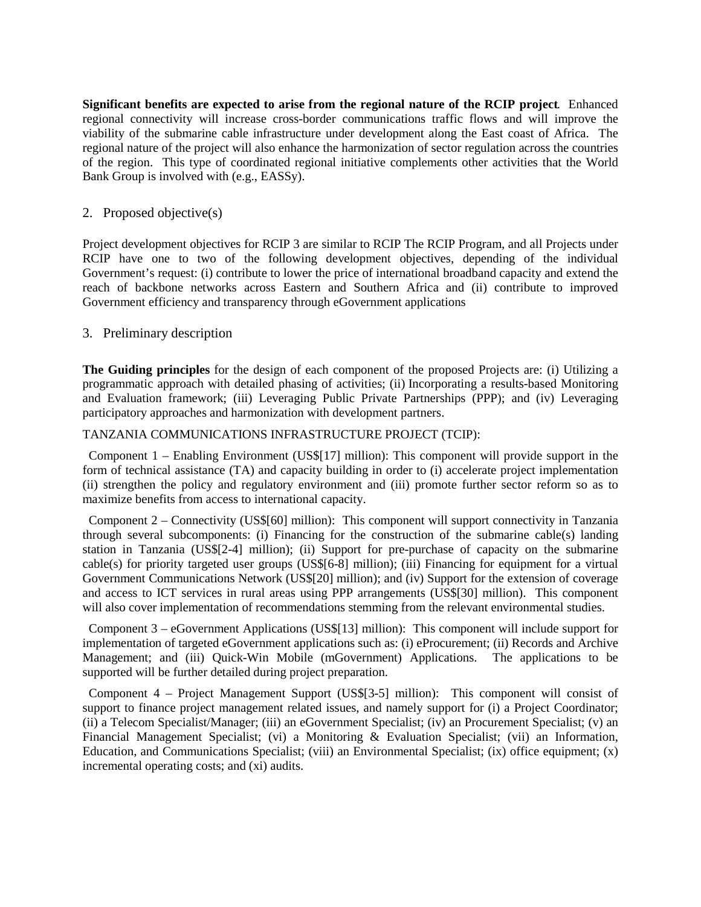**Significant benefits are expected to arise from the regional nature of the RCIP project**. Enhanced regional connectivity will increase cross-border communications traffic flows and will improve the viability of the submarine cable infrastructure under development along the East coast of Africa. The regional nature of the project will also enhance the harmonization of sector regulation across the countries of the region. This type of coordinated regional initiative complements other activities that the World Bank Group is involved with (e.g., EASSy).

## 2. Proposed objective(s)

Project development objectives for RCIP 3 are similar to RCIP The RCIP Program, and all Projects under RCIP have one to two of the following development objectives, depending of the individual Government's request: (i) contribute to lower the price of international broadband capacity and extend the reach of backbone networks across Eastern and Southern Africa and (ii) contribute to improved Government efficiency and transparency through eGovernment applications

## 3. Preliminary description

**The Guiding principles** for the design of each component of the proposed Projects are: (i) Utilizing a programmatic approach with detailed phasing of activities; (ii) Incorporating a results-based Monitoring and Evaluation framework; (iii) Leveraging Public Private Partnerships (PPP); and (iv) Leveraging participatory approaches and harmonization with development partners.

#### TANZANIA COMMUNICATIONS INFRASTRUCTURE PROJECT (TCIP):

Component 1 – Enabling Environment (US\$[17] million): This component will provide support in the form of technical assistance (TA) and capacity building in order to (i) accelerate project implementation (ii) strengthen the policy and regulatory environment and (iii) promote further sector reform so as to maximize benefits from access to international capacity.

Component 2 – Connectivity (US\$[60] million): This component will support connectivity in Tanzania through several subcomponents: (i) Financing for the construction of the submarine cable(s) landing station in Tanzania (US\$[2-4] million); (ii) Support for pre-purchase of capacity on the submarine cable(s) for priority targeted user groups (US\$[6-8] million); (iii) Financing for equipment for a virtual Government Communications Network (US\$[20] million); and (iv) Support for the extension of coverage and access to ICT services in rural areas using PPP arrangements (US\$[30] million). This component will also cover implementation of recommendations stemming from the relevant environmental studies.

Component 3 – eGovernment Applications (US\$[13] million): This component will include support for implementation of targeted eGovernment applications such as: (i) eProcurement; (ii) Records and Archive Management; and (iii) Quick-Win Mobile (mGovernment) Applications. The applications to be supported will be further detailed during project preparation.

Component 4 – Project Management Support (US\$[3-5] million): This component will consist of support to finance project management related issues, and namely support for (i) a Project Coordinator; (ii) a Telecom Specialist/Manager; (iii) an eGovernment Specialist; (iv) an Procurement Specialist; (v) an Financial Management Specialist; (vi) a Monitoring & Evaluation Specialist; (vii) an Information, Education, and Communications Specialist; (viii) an Environmental Specialist; (ix) office equipment; (x) incremental operating costs; and (xi) audits.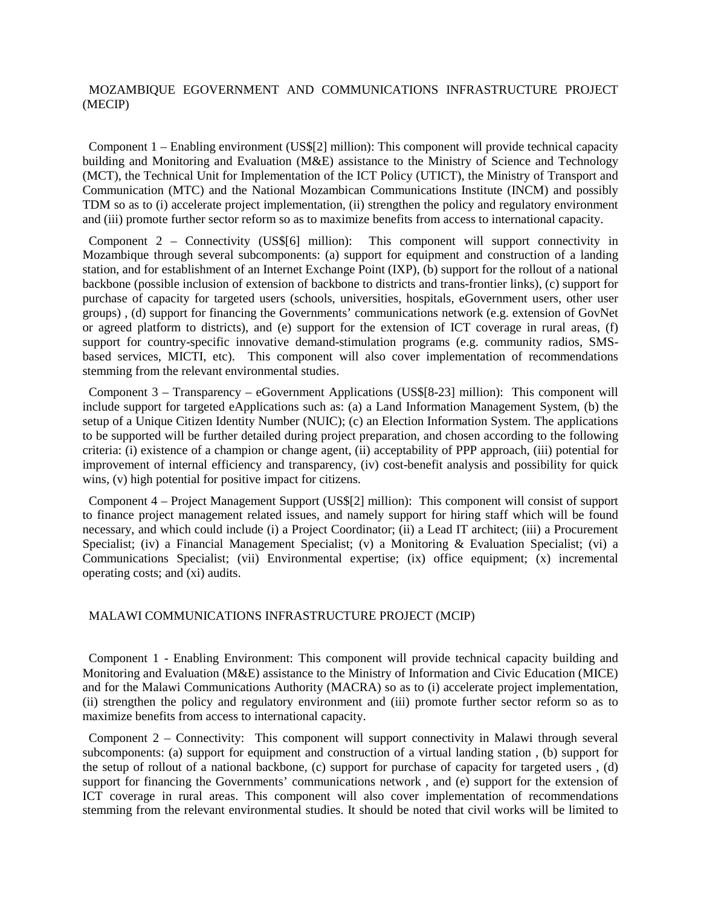### MOZAMBIQUE EGOVERNMENT AND COMMUNICATIONS INFRASTRUCTURE PROJECT (MECIP)

Component 1 – Enabling environment (US\$[2] million): This component will provide technical capacity building and Monitoring and Evaluation (M&E) assistance to the Ministry of Science and Technology (MCT), the Technical Unit for Implementation of the ICT Policy (UTICT), the Ministry of Transport and Communication (MTC) and the National Mozambican Communications Institute (INCM) and possibly TDM so as to (i) accelerate project implementation, (ii) strengthen the policy and regulatory environment and (iii) promote further sector reform so as to maximize benefits from access to international capacity.

Component 2 – Connectivity (US\$[6] million): This component will support connectivity in Mozambique through several subcomponents: (a) support for equipment and construction of a landing station, and for establishment of an Internet Exchange Point (IXP), (b) support for the rollout of a national backbone (possible inclusion of extension of backbone to districts and trans-frontier links), (c) support for purchase of capacity for targeted users (schools, universities, hospitals, eGovernment users, other user groups) , (d) support for financing the Governments' communications network (e.g. extension of GovNet or agreed platform to districts), and (e) support for the extension of ICT coverage in rural areas, (f) support for country-specific innovative demand-stimulation programs (e.g. community radios, SMSbased services, MICTI, etc). This component will also cover implementation of recommendations stemming from the relevant environmental studies.

Component 3 – Transparency – eGovernment Applications (US\$[8-23] million): This component will include support for targeted eApplications such as: (a) a Land Information Management System, (b) the setup of a Unique Citizen Identity Number (NUIC); (c) an Election Information System. The applications to be supported will be further detailed during project preparation, and chosen according to the following criteria: (i) existence of a champion or change agent, (ii) acceptability of PPP approach, (iii) potential for improvement of internal efficiency and transparency, (iv) cost-benefit analysis and possibility for quick wins, (v) high potential for positive impact for citizens.

Component 4 – Project Management Support (US\$[2] million): This component will consist of support to finance project management related issues, and namely support for hiring staff which will be found necessary, and which could include (i) a Project Coordinator; (ii) a Lead IT architect; (iii) a Procurement Specialist; (iv) a Financial Management Specialist; (v) a Monitoring & Evaluation Specialist; (vi) a Communications Specialist; (vii) Environmental expertise; (ix) office equipment; (x) incremental operating costs; and (xi) audits.

#### MALAWI COMMUNICATIONS INFRASTRUCTURE PROJECT (MCIP)

Component 1 - Enabling Environment: This component will provide technical capacity building and Monitoring and Evaluation (M&E) assistance to the Ministry of Information and Civic Education (MICE) and for the Malawi Communications Authority (MACRA) so as to (i) accelerate project implementation, (ii) strengthen the policy and regulatory environment and (iii) promote further sector reform so as to maximize benefits from access to international capacity.

Component 2 – Connectivity: This component will support connectivity in Malawi through several subcomponents: (a) support for equipment and construction of a virtual landing station , (b) support for the setup of rollout of a national backbone, (c) support for purchase of capacity for targeted users , (d) support for financing the Governments' communications network , and (e) support for the extension of ICT coverage in rural areas. This component will also cover implementation of recommendations stemming from the relevant environmental studies. It should be noted that civil works will be limited to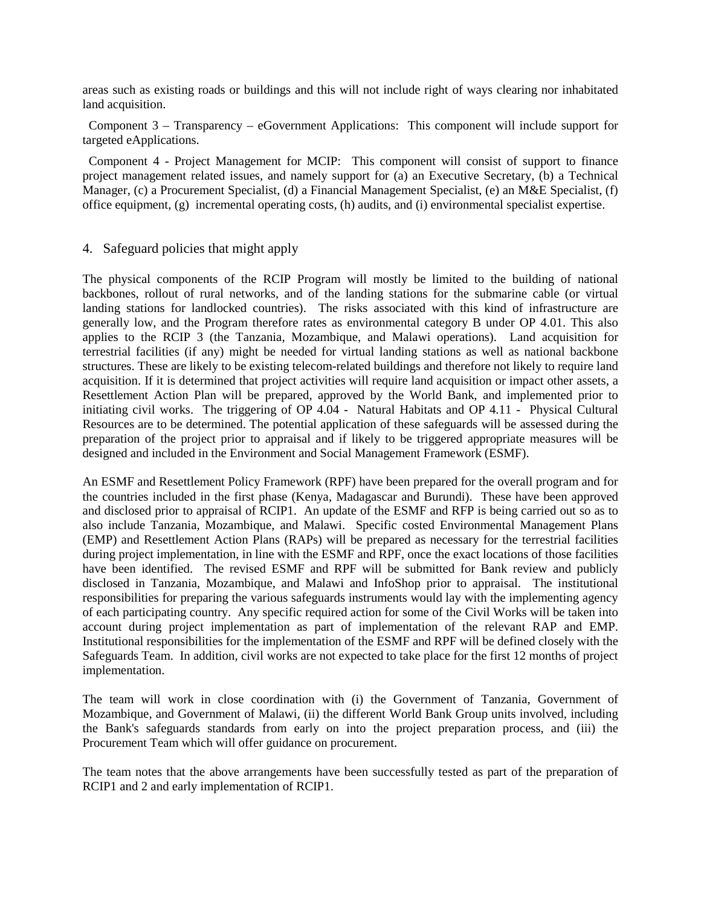areas such as existing roads or buildings and this will not include right of ways clearing nor inhabitated land acquisition.

Component 3 – Transparency – eGovernment Applications: This component will include support for targeted eApplications.

Component 4 - Project Management for MCIP: This component will consist of support to finance project management related issues, and namely support for (a) an Executive Secretary, (b) a Technical Manager, (c) a Procurement Specialist, (d) a Financial Management Specialist, (e) an M&E Specialist, (f) office equipment, (g) incremental operating costs, (h) audits, and (i) environmental specialist expertise.

#### 4. Safeguard policies that might apply

The physical components of the RCIP Program will mostly be limited to the building of national backbones, rollout of rural networks, and of the landing stations for the submarine cable (or virtual landing stations for landlocked countries). The risks associated with this kind of infrastructure are generally low, and the Program therefore rates as environmental category B under OP 4.01. This also applies to the RCIP 3 (the Tanzania, Mozambique, and Malawi operations). Land acquisition for terrestrial facilities (if any) might be needed for virtual landing stations as well as national backbone structures. These are likely to be existing telecom-related buildings and therefore not likely to require land acquisition. If it is determined that project activities will require land acquisition or impact other assets, a Resettlement Action Plan will be prepared, approved by the World Bank, and implemented prior to initiating civil works. The triggering of OP 4.04 - Natural Habitats and OP 4.11 - Physical Cultural Resources are to be determined. The potential application of these safeguards will be assessed during the preparation of the project prior to appraisal and if likely to be triggered appropriate measures will be designed and included in the Environment and Social Management Framework (ESMF).

An ESMF and Resettlement Policy Framework (RPF) have been prepared for the overall program and for the countries included in the first phase (Kenya, Madagascar and Burundi). These have been approved and disclosed prior to appraisal of RCIP1. An update of the ESMF and RFP is being carried out so as to also include Tanzania, Mozambique, and Malawi. Specific costed Environmental Management Plans (EMP) and Resettlement Action Plans (RAPs) will be prepared as necessary for the terrestrial facilities during project implementation, in line with the ESMF and RPF, once the exact locations of those facilities have been identified. The revised ESMF and RPF will be submitted for Bank review and publicly disclosed in Tanzania, Mozambique, and Malawi and InfoShop prior to appraisal. The institutional responsibilities for preparing the various safeguards instruments would lay with the implementing agency of each participating country. Any specific required action for some of the Civil Works will be taken into account during project implementation as part of implementation of the relevant RAP and EMP. Institutional responsibilities for the implementation of the ESMF and RPF will be defined closely with the Safeguards Team. In addition, civil works are not expected to take place for the first 12 months of project implementation.

The team will work in close coordination with (i) the Government of Tanzania, Government of Mozambique, and Government of Malawi, (ii) the different World Bank Group units involved, including the Bank's safeguards standards from early on into the project preparation process, and (iii) the Procurement Team which will offer guidance on procurement.

The team notes that the above arrangements have been successfully tested as part of the preparation of RCIP1 and 2 and early implementation of RCIP1.